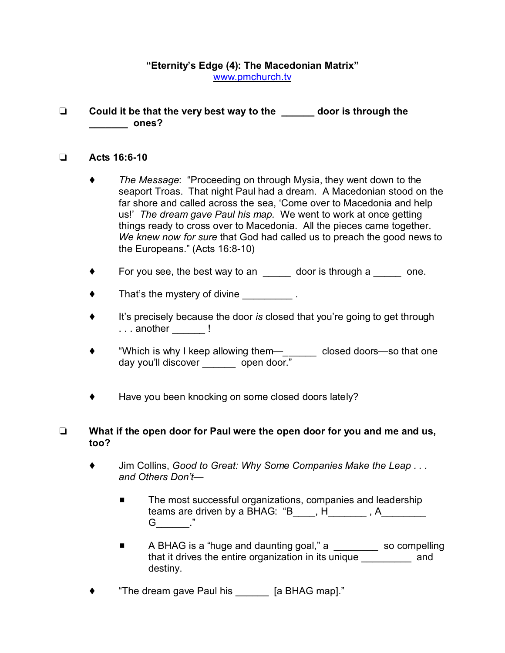## **"Eternity's Edge (4): The Macedonian Matrix"** [www.pmchurch.tv](http://www.pmchurch.tv)

 **Could it be that the very best way to the \_\_\_\_\_\_ door is through the \_\_\_\_\_\_\_ ones?**

## **Acts 16:6-10**

- *The Message*: "Proceeding on through Mysia, they went down to the seaport Troas. That night Paul had a dream. A Macedonian stood on the far shore and called across the sea, 'Come over to Macedonia and help us!' *The dream gave Paul his map.* We went to work at once getting things ready to cross over to Macedonia. All the pieces came together. *We knew now for sure* that God had called us to preach the good news to the Europeans." (Acts 16:8-10)
- For you see, the best way to an  $\frac{1}{\sqrt{1-\frac{1}{n}}}$  door is through a  $\frac{1}{\sqrt{1-\frac{1}{n}}}$  one.
- $\blacklozenge$  That's the mystery of divine  $\blacktriangleright$ .
- It's precisely because the door *is* closed that you're going to get through ... another \_\_\_\_\_\_ !
- "Which is why I keep allowing them—*\_*\_\_\_\_\_ closed doors—so that one day you'll discover \_\_\_\_\_\_\_ open door."
- ◆ Have you been knocking on some closed doors lately?

## **What if the open door for Paul were the open door for you and me and us, too?**

- Jim Collins, *Good to Great: Why Some Companies Make the Leap . . . and Others Don't—* 
	- The most successful organizations, companies and leadership teams are driven by a BHAG: "B\_\_\_\_, H\_\_\_\_\_\_\_, A\_\_\_\_\_\_\_\_ G ."
	- A BHAG is a "huge and daunting goal," a \_\_\_\_\_\_\_\_\_ so compelling that it drives the entire organization in its unique and destiny.
- "The dream gave Paul his \_\_\_\_\_\_ [a BHAG map]."